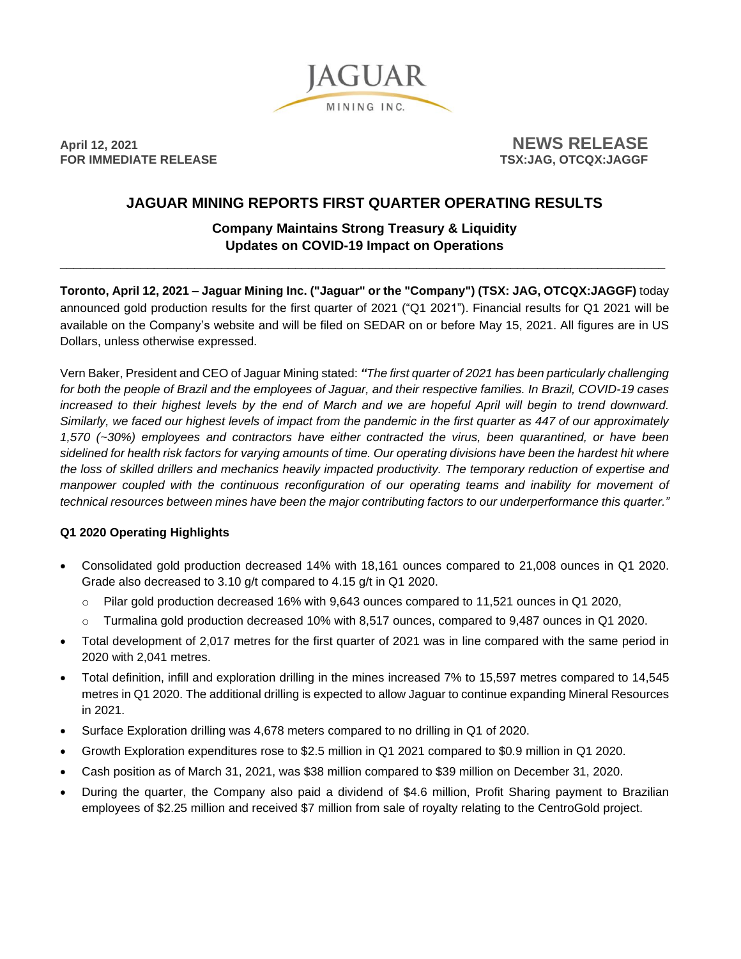

**FOR IMMEDIATE RELEASE TSX:JAG, OTCQX:JAGGF**

**April 12, 2021 NEWS RELEASE**

# **JAGUAR MINING REPORTS FIRST QUARTER OPERATING RESULTS**

## **Company Maintains Strong Treasury & Liquidity Updates on COVID-19 Impact on Operations**

\_\_\_\_\_\_\_\_\_\_\_\_\_\_\_\_\_\_\_\_\_\_\_\_\_\_\_\_\_\_\_\_\_\_\_\_\_\_\_\_\_\_\_\_\_\_\_\_\_\_\_\_\_\_\_\_\_\_\_\_\_\_\_\_\_\_\_\_\_\_\_\_\_\_\_\_\_\_\_\_\_\_\_\_\_\_\_\_\_\_

**Toronto, April 12, 2021 – Jaguar Mining Inc. ("Jaguar" or the "Company") (TSX: JAG, OTCQX:JAGGF)** today announced gold production results for the first quarter of 2021 ("Q1 2021"). Financial results for Q1 2021 will be available on the Company's website and will be filed on SEDAR on or before May 15, 2021. All figures are in US Dollars, unless otherwise expressed.

Vern Baker, President and CEO of Jaguar Mining stated: *"The first quarter of 2021 has been particularly challenging* for both the people of Brazil and the employees of Jaquar, and their respective families. In Brazil, COVID-19 cases increased to their highest levels by the end of March and we are hopeful April will begin to trend downward. Similarly, we faced our highest levels of impact from the pandemic in the first quarter as 447 of our approximately *1,570 (~30%) employees and contractors have either contracted the virus, been quarantined, or have been* sidelined for health risk factors for varying amounts of time. Our operating divisions have been the hardest hit where the loss of skilled drillers and mechanics heavily impacted productivity. The temporary reduction of expertise and *manpower coupled with the continuous reconfiguration of our operating teams and inability for movement of technical resources between mines have been the major contributing factors to our underperformance this quarter."*

## **Q1 2020 Operating Highlights**

- Consolidated gold production decreased 14% with 18,161 ounces compared to 21,008 ounces in Q1 2020. Grade also decreased to 3.10 g/t compared to 4.15 g/t in Q1 2020.
	- $\circ$  Pilar gold production decreased 16% with 9,643 ounces compared to 11,521 ounces in Q1 2020,
	- o Turmalina gold production decreased 10% with 8,517 ounces, compared to 9,487 ounces in Q1 2020.
- Total development of 2,017 metres for the first quarter of 2021 was in line compared with the same period in 2020 with 2,041 metres.
- Total definition, infill and exploration drilling in the mines increased 7% to 15,597 metres compared to 14,545 metres in Q1 2020. The additional drilling is expected to allow Jaguar to continue expanding Mineral Resources in 2021.
- Surface Exploration drilling was 4,678 meters compared to no drilling in Q1 of 2020.
- Growth Exploration expenditures rose to \$2.5 million in Q1 2021 compared to \$0.9 million in Q1 2020.
- Cash position as of March 31, 2021, was \$38 million compared to \$39 million on December 31, 2020.
- During the quarter, the Company also paid a dividend of \$4.6 million, Profit Sharing payment to Brazilian employees of \$2.25 million and received \$7 million from sale of royalty relating to the CentroGold project.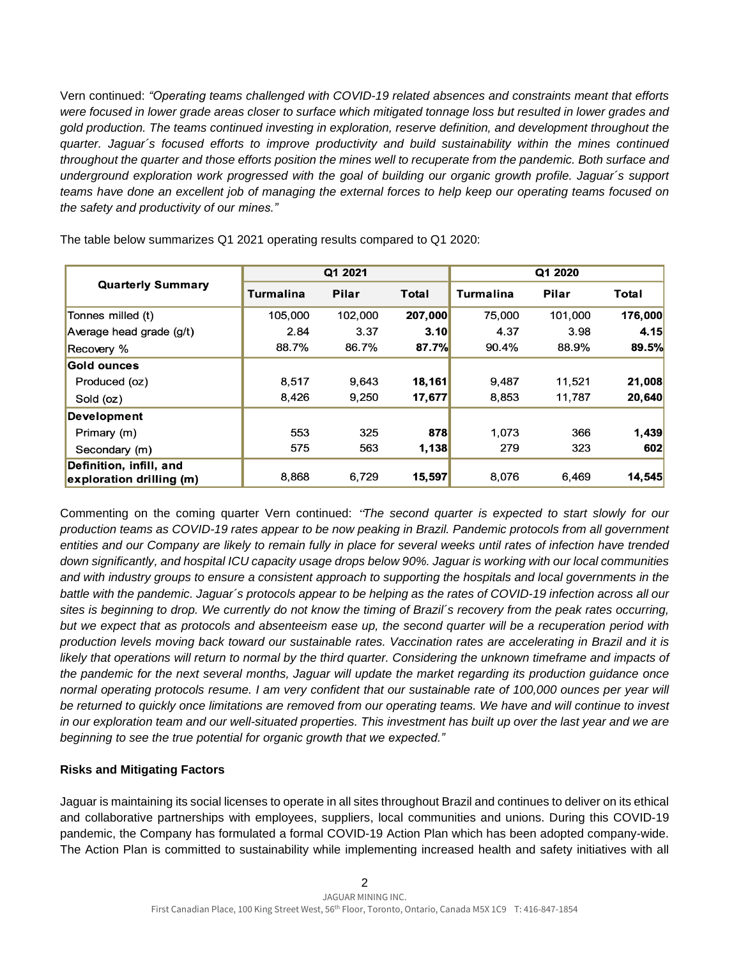Vern continued: *"Operating teams challenged with COVID-19 related absences and constraints meant that efforts* were focused in lower grade areas closer to surface which mitigated tonnage loss but resulted in lower grades and *gold production. The teams continued investing in exploration, reserve definition, and development throughout the quarter. Jaguar´s focused efforts to improve productivity and build sustainability within the mines continued* throughout the quarter and those efforts position the mines well to recuperate from the pandemic. Both surface and *underground exploration work progressed with the goal of building our organic growth profile. Jaguar´s support* teams have done an excellent job of managing the external forces to help keep our operating teams focused on *the safety and productivity of our mines."*

| <b>Quarterly Summary</b>                            | Q1 2021   |              |         | Q1 2020   |         |              |
|-----------------------------------------------------|-----------|--------------|---------|-----------|---------|--------------|
|                                                     | Turmalina | <b>Pilar</b> | Total   | Turmalina | Pilar   | <b>Total</b> |
| Tonnes milled (t)                                   | 105,000   | 102.000      | 207,000 | 75,000    | 101,000 | 176,000      |
| Average head grade (g/t)                            | 2.84      | 3.37         | 3.10    | 4.37      | 3.98    | 4.15         |
| <b>Recovery %</b>                                   | 88.7%     | 86.7%        | 87.7%   | 90.4%     | 88.9%   | 89.5%        |
| Gold ounces                                         |           |              |         |           |         |              |
| Produced (oz)                                       | 8.517     | 9.643        | 18,161  | 9.487     | 11.521  | 21,008       |
| Sold (oz)                                           | 8,426     | 9,250        | 17,677  | 8,853     | 11,787  | 20,640       |
| Development                                         |           |              |         |           |         |              |
| Primary (m)                                         | 553       | 325          | 878     | 1,073     | 366     | 1,439        |
| Secondary (m)                                       | 575       | 563          | 1,138   | 279       | 323     | 602          |
| Definition, infill, and<br>exploration drilling (m) | 8,868     | 6.729        | 15,597  | 8.076     | 6.469   | 14,545       |

The table below summarizes Q1 2021 operating results compared to Q1 2020:

Commenting on the coming quarter Vern continued: "*The second quarter is expected to start slowly for our* production teams as COVID-19 rates appear to be now peaking in Brazil. Pandemic protocols from all government entities and our Company are likely to remain fully in place for several weeks until rates of infection have trended down significantly, and hospital ICU capacity usage drops below 90%. Jaguar is working with our local communities and with industry groups to ensure a consistent approach to supporting the hospitals and local governments in the battle with the pandemic. Jaquar's protocols appear to be helping as the rates of COVID-19 infection across all our sites is beginning to drop. We currently do not know the timing of Brazil's recovery from the peak rates occurring, but we expect that as protocols and absenteeism ease up, the second quarter will be a recuperation period with production levels moving back toward our sustainable rates. Vaccination rates are accelerating in Brazil and it is likely that operations will return to normal by the third quarter. Considering the unknown timeframe and impacts of the pandemic for the next several months, Jaguar will update the market regarding its production guidance once normal operating protocols resume. I am very confident that our sustainable rate of 100,000 ounces per year will be returned to quickly once limitations are removed from our operating teams. We have and will continue to invest in our exploration team and our well-situated properties. This investment has built up over the last year and we are *beginning to see the true potential for organic growth that we expected."* 

## **Risks and Mitigating Factors**

Jaguar is maintaining its social licenses to operate in all sites throughout Brazil and continues to deliver on its ethical and collaborative partnerships with employees, suppliers, local communities and unions. During this COVID-19 pandemic, the Company has formulated a formal COVID-19 Action Plan which has been adopted company-wide. The Action Plan is committed to sustainability while implementing increased health and safety initiatives with all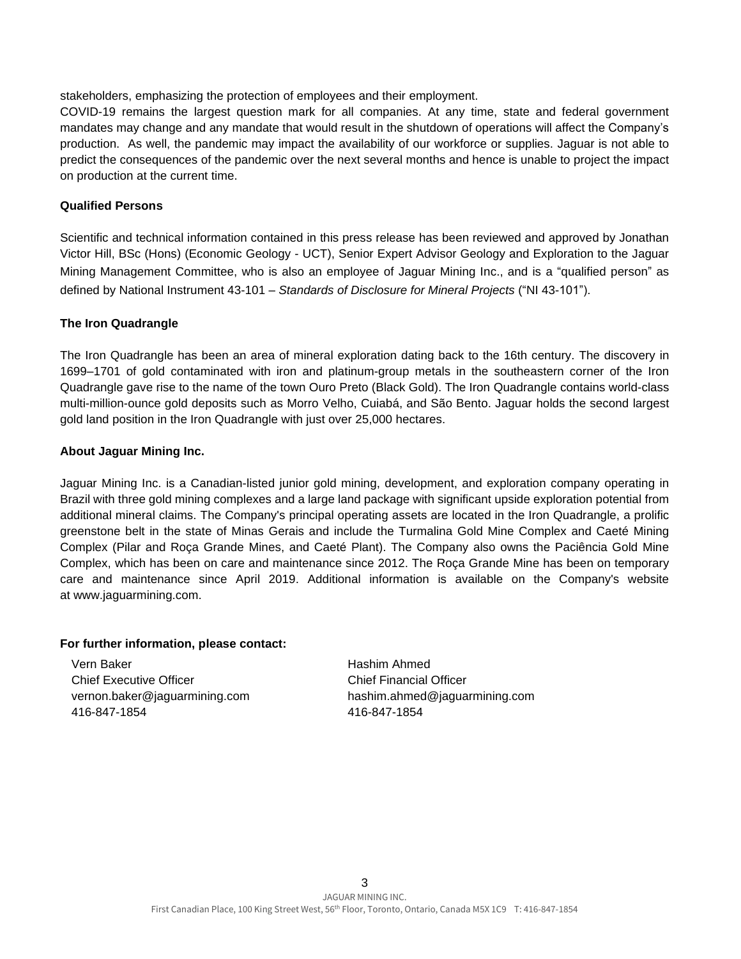stakeholders, emphasizing the protection of employees and their employment.

COVID-19 remains the largest question mark for all companies. At any time, state and federal government mandates may change and any mandate that would result in the shutdown of operations will affect the Company's production. As well, the pandemic may impact the availability of our workforce or supplies. Jaguar is not able to predict the consequences of the pandemic over the next several months and hence is unable to project the impact on production at the current time.

#### **Qualified Persons**

Scientific and technical information contained in this press release has been reviewed and approved by Jonathan Victor Hill, BSc (Hons) (Economic Geology - UCT), Senior Expert Advisor Geology and Exploration to the Jaguar Mining Management Committee, who is also an employee of Jaguar Mining Inc., and is a "qualified person" as defined by National Instrument 43-101 – *Standards of Disclosure for Mineral Projects* ("NI 43-101").

## **The Iron Quadrangle**

The Iron Quadrangle has been an area of mineral exploration dating back to the 16th century. The discovery in 1699–1701 of gold contaminated with iron and platinum-group metals in the southeastern corner of the Iron Quadrangle gave rise to the name of the town Ouro Preto (Black Gold). The Iron Quadrangle contains world-class multi-million-ounce gold deposits such as Morro Velho, Cuiabá, and São Bento. Jaguar holds the second largest gold land position in the Iron Quadrangle with just over 25,000 hectares.

#### **About Jaguar Mining Inc.**

Jaguar Mining Inc. is a Canadian-listed junior gold mining, development, and exploration company operating in Brazil with three gold mining complexes and a large land package with significant upside exploration potential from additional mineral claims. The Company's principal operating assets are located in the Iron Quadrangle, a prolific greenstone belt in the state of Minas Gerais and include the Turmalina Gold Mine Complex and Caeté Mining Complex (Pilar and Roça Grande Mines, and Caeté Plant). The Company also owns the Paciência Gold Mine Complex, which has been on care and maintenance since 2012. The Roça Grande Mine has been on temporary care and maintenance since April 2019. Additional information is available on the Company's website at www.jaguarmining.com.

#### **For further information, please contact:**

Vern Baker Chief Executive Officer vernon.baker@jaguarmining.com 416-847-1854

Hashim Ahmed Chief Financial Officer hashim.ahmed@jaguarmining.com 416-847-1854